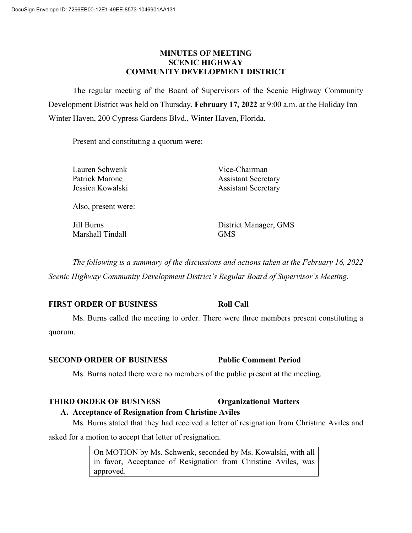#### **MINUTES OF MEETING SCENIC HIGHWAY COMMUNITY DEVELOPMENT DISTRICT**

The regular meeting of the Board of Supervisors of the Scenic Highway Community Development District was held on Thursday, **February 17, 2022** at 9:00 a.m. at the Holiday Inn – Winter Haven, 200 Cypress Gardens Blvd., Winter Haven, Florida.

Present and constituting a quorum were:

Lauren Schwenk Vice-Chairman

Patrick Marone **Assistant Secretary** Jessica Kowalski Assistant Secretary

Also, present were:

Marshall Tindall GMS

Jill Burns District Manager, GMS

*The following is a summary of the discussions and actions taken at the February 16, 2022 Scenic Highway Community Development District's Regular Board of Supervisor's Meeting.*

## **FIRST ORDER OF BUSINESS Roll Call**

Ms. Burns called the meeting to order. There were three members present constituting a quorum.

#### **SECOND ORDER OF BUSINESS Public Comment Period**

Ms. Burns noted there were no members of the public present at the meeting.

#### **THIRD ORDER OF BUSINESS Organizational Matters**

**A. Acceptance of Resignation from Christine Aviles** Ms. Burns stated that they had received a letter of resignation from Christine Aviles and

asked for a motion to accept that letter of resignation.

On MOTION by Ms. Schwenk, seconded by Ms. Kowalski, with all in favor, Acceptance of Resignation from Christine Aviles, was approved.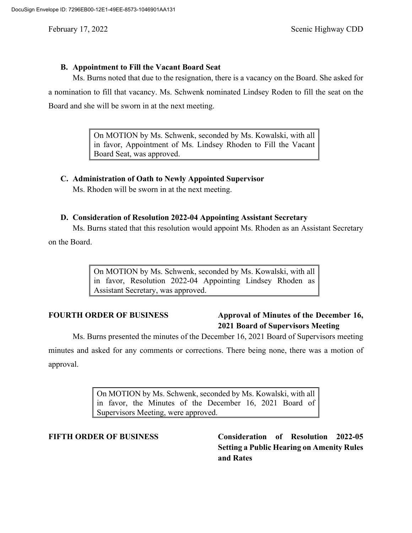#### **B. Appointment to Fill the Vacant Board Seat**

Ms. Burns noted that due to the resignation, there is a vacancy on the Board. She asked for a nomination to fill that vacancy. Ms. Schwenk nominated Lindsey Roden to fill the seat on the Board and she will be sworn in at the next meeting.

> On MOTION by Ms. Schwenk, seconded by Ms. Kowalski, with all in favor, Appointment of Ms. Lindsey Rhoden to Fill the Vacant Board Seat, was approved.

#### **C. Administration of Oath to Newly Appointed Supervisor**

Ms. Rhoden will be sworn in at the next meeting.

#### **D. Consideration of Resolution 2022-04 Appointing Assistant Secretary**

Ms. Burns stated that this resolution would appoint Ms. Rhoden as an Assistant Secretary

on the Board.

On MOTION by Ms. Schwenk, seconded by Ms. Kowalski, with all in favor, Resolution 2022-04 Appointing Lindsey Rhoden as Assistant Secretary, was approved.

# **FOURTH ORDER OF BUSINESS Approval of Minutes of the December 16, 2021 Board of Supervisors Meeting**

Ms. Burns presented the minutes of the December 16, 2021 Board of Supervisors meeting minutes and asked for any comments or corrections. There being none, there was a motion of approval.

> On MOTION by Ms. Schwenk, seconded by Ms. Kowalski, with all in favor, the Minutes of the December 16, 2021 Board of Supervisors Meeting, were approved.

**FIFTH ORDER OF BUSINESS Consideration of Resolution 2022-05 Setting a Public Hearing on Amenity Rules and Rates**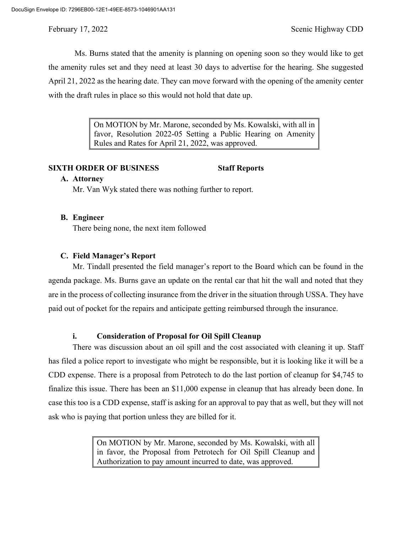Ms. Burns stated that the amenity is planning on opening soon so they would like to get the amenity rules set and they need at least 30 days to advertise for the hearing. She suggested April 21, 2022 as the hearing date. They can move forward with the opening of the amenity center with the draft rules in place so this would not hold that date up.

> On MOTION by Mr. Marone, seconded by Ms. Kowalski, with all in favor, Resolution 2022-05 Setting a Public Hearing on Amenity Rules and Rates for April 21, 2022, was approved.

## **SIXTH ORDER OF BUSINESS Staff Reports**

#### **A. Attorney**

Mr. Van Wyk stated there was nothing further to report.

#### **B. Engineer**

There being none, the next item followed

#### **C. Field Manager's Report**

Mr. Tindall presented the field manager's report to the Board which can be found in the agenda package. Ms. Burns gave an update on the rental car that hit the wall and noted that they are in the process of collecting insurance from the driver in the situation through USSA. They have paid out of pocket for the repairs and anticipate getting reimbursed through the insurance.

## **i. Consideration of Proposal for Oil Spill Cleanup**

There was discussion about an oil spill and the cost associated with cleaning it up. Staff has filed a police report to investigate who might be responsible, but it is looking like it will be a CDD expense. There is a proposal from Petrotech to do the last portion of cleanup for \$4,745 to finalize this issue. There has been an \$11,000 expense in cleanup that has already been done. In case this too is a CDD expense, staff is asking for an approval to pay that as well, but they will not ask who is paying that portion unless they are billed for it.

> On MOTION by Mr. Marone, seconded by Ms. Kowalski, with all in favor, the Proposal from Petrotech for Oil Spill Cleanup and Authorization to pay amount incurred to date, was approved.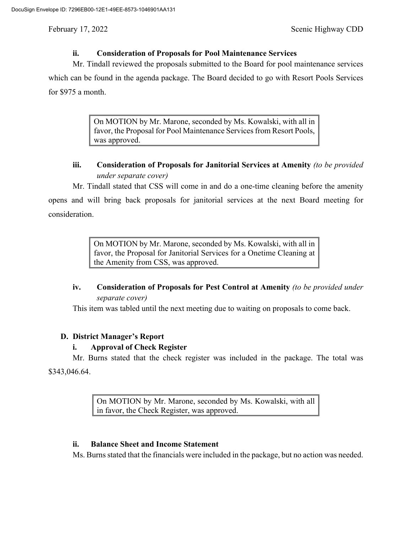## **ii. Consideration of Proposals for Pool Maintenance Services**

Mr. Tindall reviewed the proposals submitted to the Board for pool maintenance services

which can be found in the agenda package. The Board decided to go with Resort Pools Services for \$975 a month.

> On MOTION by Mr. Marone, seconded by Ms. Kowalski, with all in favor, the Proposal for Pool Maintenance Services from Resort Pools, was approved.

## **iii. Consideration of Proposals for Janitorial Services at Amenity** *(to be provided under separate cover)*

Mr. Tindall stated that CSS will come in and do a one-time cleaning before the amenity opens and will bring back proposals for janitorial services at the next Board meeting for consideration.

> On MOTION by Mr. Marone, seconded by Ms. Kowalski, with all in favor, the Proposal for Janitorial Services for a Onetime Cleaning at the Amenity from CSS, was approved.

# **iv. Consideration of Proposals for Pest Control at Amenity** *(to be provided under separate cover)*

This item was tabled until the next meeting due to waiting on proposals to come back.

## **D. District Manager's Report**

## **i. Approval of Check Register**

Mr. Burns stated that the check register was included in the package. The total was \$343,046.64.

> On MOTION by Mr. Marone, seconded by Ms. Kowalski, with all in favor, the Check Register, was approved.

#### **ii. Balance Sheet and Income Statement**

Ms. Burns stated that the financials were included in the package, but no action was needed.